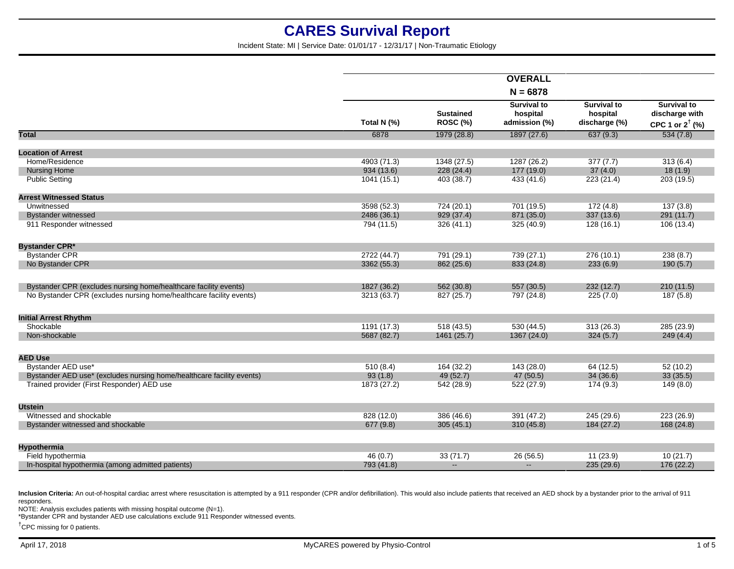Incident State: MI | Service Date: 01/01/17 - 12/31/17 | Non-Traumatic Etiology

|                                                                       |             |                                     | <b>OVERALL</b>                                  |                                                 |                                                                    |
|-----------------------------------------------------------------------|-------------|-------------------------------------|-------------------------------------------------|-------------------------------------------------|--------------------------------------------------------------------|
|                                                                       |             |                                     | $N = 6878$                                      |                                                 |                                                                    |
|                                                                       | Total N (%) | <b>Sustained</b><br><b>ROSC (%)</b> | <b>Survival to</b><br>hospital<br>admission (%) | <b>Survival to</b><br>hospital<br>discharge (%) | <b>Survival to</b><br>discharge with<br>CPC 1 or $2^{\dagger}$ (%) |
| <b>Total</b>                                                          | 6878        | 1979 (28.8)                         | 1897 (27.6)                                     | 637(9.3)                                        | 534(7.8)                                                           |
| <b>Location of Arrest</b>                                             |             |                                     |                                                 |                                                 |                                                                    |
| Home/Residence                                                        | 4903 (71.3) | 1348 (27.5)                         | 1287 (26.2)                                     | 377(7.7)                                        | 313(6.4)                                                           |
| <b>Nursing Home</b>                                                   | 934(13.6)   | 228 (24.4)                          | 177 (19.0)                                      | 37(4.0)                                         | 18(1.9)                                                            |
| <b>Public Setting</b>                                                 | 1041(15.1)  | 403 (38.7)                          | 433 (41.6)                                      | 223 (21.4)                                      | 203 (19.5)                                                         |
| <b>Arrest Witnessed Status</b>                                        |             |                                     |                                                 |                                                 |                                                                    |
| Unwitnessed                                                           | 3598 (52.3) | 724(20.1)                           | 701 (19.5)                                      | 172(4.8)                                        | 137(3.8)                                                           |
| <b>Bystander witnessed</b>                                            | 2486 (36.1) | 929 (37.4)                          | 871 (35.0)                                      | 337 (13.6)                                      | 291 (11.7)                                                         |
| 911 Responder witnessed                                               | 794 (11.5)  | 326(41.1)                           | 325 (40.9)                                      | 128(16.1)                                       | 106 (13.4)                                                         |
| <b>Bystander CPR*</b>                                                 |             |                                     |                                                 |                                                 |                                                                    |
| <b>Bystander CPR</b>                                                  | 2722 (44.7) | 791 (29.1)                          | 739 (27.1)                                      | 276(10.1)                                       | 238(8.7)                                                           |
| No Bystander CPR                                                      | 3362 (55.3) | 862 (25.6)                          | 833 (24.8)                                      | 233(6.9)                                        | 190(5.7)                                                           |
| Bystander CPR (excludes nursing home/healthcare facility events)      | 1827 (36.2) | 562 (30.8)                          | 557 (30.5)                                      | 232(12.7)                                       | 210(11.5)                                                          |
| No Bystander CPR (excludes nursing home/healthcare facility events)   | 3213 (63.7) | 827 (25.7)                          | 797 (24.8)                                      | 225(7.0)                                        | 187 (5.8)                                                          |
| <b>Initial Arrest Rhythm</b>                                          |             |                                     |                                                 |                                                 |                                                                    |
| Shockable                                                             | 1191 (17.3) | 518(43.5)                           | 530(44.5)                                       | 313(26.3)                                       | 285 (23.9)                                                         |
| Non-shockable                                                         | 5687 (82.7) | 1461 (25.7)                         | 1367 (24.0)                                     | 324(5.7)                                        | 249(4.4)                                                           |
| <b>AED Use</b>                                                        |             |                                     |                                                 |                                                 |                                                                    |
| Bystander AED use*                                                    | 510(8.4)    | 164 (32.2)                          | 143(28.0)                                       | 64(12.5)                                        | 52(10.2)                                                           |
| Bystander AED use* (excludes nursing home/healthcare facility events) | 93(1.8)     | 49 (52.7)                           | 47(50.5)                                        | 34(36.6)                                        | 33(35.5)                                                           |
| Trained provider (First Responder) AED use                            | 1873 (27.2) | 542 (28.9)                          | 522 (27.9)                                      | 174(9.3)                                        | 149(8.0)                                                           |
| <b>Utstein</b>                                                        |             |                                     |                                                 |                                                 |                                                                    |
| Witnessed and shockable                                               | 828 (12.0)  | 386 (46.6)                          | 391 (47.2)                                      | 245 (29.6)                                      | 223 (26.9)                                                         |
| Bystander witnessed and shockable                                     | 677 (9.8)   | 305(45.1)                           | 310(45.8)                                       | 184 (27.2)                                      | 168 (24.8)                                                         |
| <b>Hypothermia</b>                                                    |             |                                     |                                                 |                                                 |                                                                    |
| Field hypothermia                                                     | 46(0.7)     | 33(71.7)                            | 26(56.5)                                        | 11(23.9)                                        | 10(21.7)                                                           |
| In-hospital hypothermia (among admitted patients)                     | 793 (41.8)  | $\mathbf{u} = \mathbf{v}$           | $\sim$                                          | 235(29.6)                                       | 176 (22.2)                                                         |
|                                                                       |             |                                     |                                                 |                                                 |                                                                    |

Inclusion Criteria: An out-of-hospital cardiac arrest where resuscitation is attempted by a 911 responder (CPR and/or defibrillation). This would also include patients that received an AED shock by a bystander prior to the responders.

NOTE: Analysis excludes patients with missing hospital outcome (N=1).

\*Bystander CPR and bystander AED use calculations exclude 911 Responder witnessed events.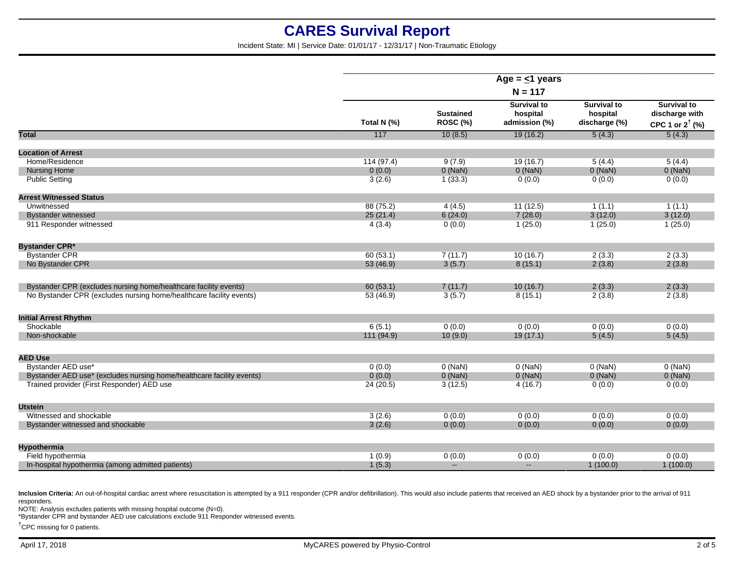Incident State: MI | Service Date: 01/01/17 - 12/31/17 | Non-Traumatic Etiology

| <b>Survival to</b><br><b>Survival to</b><br><b>Sustained</b><br>hospital<br>hospital<br>Total N (%)<br><b>ROSC (%)</b><br>admission (%)<br>discharge (%)<br>117<br><b>Total</b><br>10(8.5)<br>19(16.2)<br>5(4.3)<br><b>Location of Arrest</b><br>Home/Residence<br>114(97.4)<br>19(16.7)<br>9(7.9)<br>5(4.4)<br>$0$ (NaN)<br>$0$ (NaN)<br><b>Nursing Home</b><br>0(0.0)<br>$0$ (NaN)<br><b>Public Setting</b><br>3(2.6)<br>1(33.3)<br>0(0.0)<br>0(0.0)<br><b>Arrest Witnessed Status</b><br>Unwitnessed<br>88 (75.2)<br>4(4.5)<br>11(12.5)<br>1(1.1)<br>7(28.0)<br>3(12.0)<br>25(21.4)<br>6(24.0)<br><b>Bystander witnessed</b><br>911 Responder witnessed<br>1(25.0)<br>4(3.4)<br>0(0.0)<br>1(25.0)<br><b>Bystander CPR*</b><br><b>Bystander CPR</b><br>2(3.3)<br>60(53.1)<br>7(11.7)<br>10(16.7)<br>No Bystander CPR<br>3(5.7)<br>53 (46.9)<br>8(15.1)<br>2(3.8)<br>Bystander CPR (excludes nursing home/healthcare facility events)<br>60(53.1)<br>7(11.7)<br>10(16.7)<br>2(3.3)<br>No Bystander CPR (excludes nursing home/healthcare facility events)<br>8(15.1)<br>2(3.8)<br>53 (46.9)<br>3(5.7) | <b>Survival to</b><br>discharge with<br>CPC 1 or $2^{\dagger}$ (%)<br>5(4.3)<br>5(4.4)<br>$0$ (NaN)<br>0(0.0) |
|--------------------------------------------------------------------------------------------------------------------------------------------------------------------------------------------------------------------------------------------------------------------------------------------------------------------------------------------------------------------------------------------------------------------------------------------------------------------------------------------------------------------------------------------------------------------------------------------------------------------------------------------------------------------------------------------------------------------------------------------------------------------------------------------------------------------------------------------------------------------------------------------------------------------------------------------------------------------------------------------------------------------------------------------------------------------------------------------------------|---------------------------------------------------------------------------------------------------------------|
|                                                                                                                                                                                                                                                                                                                                                                                                                                                                                                                                                                                                                                                                                                                                                                                                                                                                                                                                                                                                                                                                                                        |                                                                                                               |
|                                                                                                                                                                                                                                                                                                                                                                                                                                                                                                                                                                                                                                                                                                                                                                                                                                                                                                                                                                                                                                                                                                        |                                                                                                               |
|                                                                                                                                                                                                                                                                                                                                                                                                                                                                                                                                                                                                                                                                                                                                                                                                                                                                                                                                                                                                                                                                                                        |                                                                                                               |
|                                                                                                                                                                                                                                                                                                                                                                                                                                                                                                                                                                                                                                                                                                                                                                                                                                                                                                                                                                                                                                                                                                        |                                                                                                               |
|                                                                                                                                                                                                                                                                                                                                                                                                                                                                                                                                                                                                                                                                                                                                                                                                                                                                                                                                                                                                                                                                                                        |                                                                                                               |
|                                                                                                                                                                                                                                                                                                                                                                                                                                                                                                                                                                                                                                                                                                                                                                                                                                                                                                                                                                                                                                                                                                        |                                                                                                               |
|                                                                                                                                                                                                                                                                                                                                                                                                                                                                                                                                                                                                                                                                                                                                                                                                                                                                                                                                                                                                                                                                                                        |                                                                                                               |
|                                                                                                                                                                                                                                                                                                                                                                                                                                                                                                                                                                                                                                                                                                                                                                                                                                                                                                                                                                                                                                                                                                        | 1(1.1)                                                                                                        |
|                                                                                                                                                                                                                                                                                                                                                                                                                                                                                                                                                                                                                                                                                                                                                                                                                                                                                                                                                                                                                                                                                                        | 3(12.0)                                                                                                       |
|                                                                                                                                                                                                                                                                                                                                                                                                                                                                                                                                                                                                                                                                                                                                                                                                                                                                                                                                                                                                                                                                                                        | 1(25.0)                                                                                                       |
|                                                                                                                                                                                                                                                                                                                                                                                                                                                                                                                                                                                                                                                                                                                                                                                                                                                                                                                                                                                                                                                                                                        |                                                                                                               |
|                                                                                                                                                                                                                                                                                                                                                                                                                                                                                                                                                                                                                                                                                                                                                                                                                                                                                                                                                                                                                                                                                                        | 2(3.3)                                                                                                        |
|                                                                                                                                                                                                                                                                                                                                                                                                                                                                                                                                                                                                                                                                                                                                                                                                                                                                                                                                                                                                                                                                                                        | 2(3.8)                                                                                                        |
|                                                                                                                                                                                                                                                                                                                                                                                                                                                                                                                                                                                                                                                                                                                                                                                                                                                                                                                                                                                                                                                                                                        | 2(3.3)                                                                                                        |
|                                                                                                                                                                                                                                                                                                                                                                                                                                                                                                                                                                                                                                                                                                                                                                                                                                                                                                                                                                                                                                                                                                        | 2(3.8)                                                                                                        |
| <b>Initial Arrest Rhythm</b>                                                                                                                                                                                                                                                                                                                                                                                                                                                                                                                                                                                                                                                                                                                                                                                                                                                                                                                                                                                                                                                                           |                                                                                                               |
| Shockable<br>6(5.1)<br>0(0.0)<br>0(0.0)<br>0(0.0)                                                                                                                                                                                                                                                                                                                                                                                                                                                                                                                                                                                                                                                                                                                                                                                                                                                                                                                                                                                                                                                      | 0(0.0)                                                                                                        |
| Non-shockable<br>111 (94.9)<br>10(9.0)<br>19(17.1)<br>5(4.5)                                                                                                                                                                                                                                                                                                                                                                                                                                                                                                                                                                                                                                                                                                                                                                                                                                                                                                                                                                                                                                           | 5(4.5)                                                                                                        |
| <b>AED Use</b>                                                                                                                                                                                                                                                                                                                                                                                                                                                                                                                                                                                                                                                                                                                                                                                                                                                                                                                                                                                                                                                                                         |                                                                                                               |
| Bystander AED use*<br>$0$ (NaN)<br>$0$ (NaN)<br>$0$ (NaN)<br>0(0.0)                                                                                                                                                                                                                                                                                                                                                                                                                                                                                                                                                                                                                                                                                                                                                                                                                                                                                                                                                                                                                                    | $0$ (NaN)                                                                                                     |
| Bystander AED use* (excludes nursing home/healthcare facility events)<br>0(0.0)<br>$0$ (NaN)<br>$0$ (NaN)<br>$0$ (NaN)                                                                                                                                                                                                                                                                                                                                                                                                                                                                                                                                                                                                                                                                                                                                                                                                                                                                                                                                                                                 | $0$ (NaN)                                                                                                     |
| Trained provider (First Responder) AED use<br>4(16.7)<br>0(0.0)<br>24 (20.5)<br>3(12.5)                                                                                                                                                                                                                                                                                                                                                                                                                                                                                                                                                                                                                                                                                                                                                                                                                                                                                                                                                                                                                | 0(0.0)                                                                                                        |
| <b>Utstein</b>                                                                                                                                                                                                                                                                                                                                                                                                                                                                                                                                                                                                                                                                                                                                                                                                                                                                                                                                                                                                                                                                                         |                                                                                                               |
| Witnessed and shockable<br>0(0.0)<br>3(2.6)<br>0(0.0)<br>0(0.0)                                                                                                                                                                                                                                                                                                                                                                                                                                                                                                                                                                                                                                                                                                                                                                                                                                                                                                                                                                                                                                        | 0(0.0)                                                                                                        |
| 3(2.6)<br>0(0.0)<br>0(0.0)<br>0(0.0)<br>Bystander witnessed and shockable                                                                                                                                                                                                                                                                                                                                                                                                                                                                                                                                                                                                                                                                                                                                                                                                                                                                                                                                                                                                                              | 0(0.0)                                                                                                        |
| <b>Hypothermia</b>                                                                                                                                                                                                                                                                                                                                                                                                                                                                                                                                                                                                                                                                                                                                                                                                                                                                                                                                                                                                                                                                                     |                                                                                                               |
| 0(0.0)<br>Field hypothermia<br>1(0.9)<br>0(0.0)<br>0(0.0)                                                                                                                                                                                                                                                                                                                                                                                                                                                                                                                                                                                                                                                                                                                                                                                                                                                                                                                                                                                                                                              | 0(0.0)                                                                                                        |
| 1(5.3)<br>In-hospital hypothermia (among admitted patients)<br>$\overline{\phantom{a}}$<br>$\mathbf{L}$<br>1(100.0)                                                                                                                                                                                                                                                                                                                                                                                                                                                                                                                                                                                                                                                                                                                                                                                                                                                                                                                                                                                    | 1(100.0)                                                                                                      |

Inclusion Criteria: An out-of-hospital cardiac arrest where resuscitation is attempted by a 911 responder (CPR and/or defibrillation). This would also include patients that received an AED shock by a bystander prior to the responders.

NOTE: Analysis excludes patients with missing hospital outcome (N=0).

\*Bystander CPR and bystander AED use calculations exclude 911 Responder witnessed events.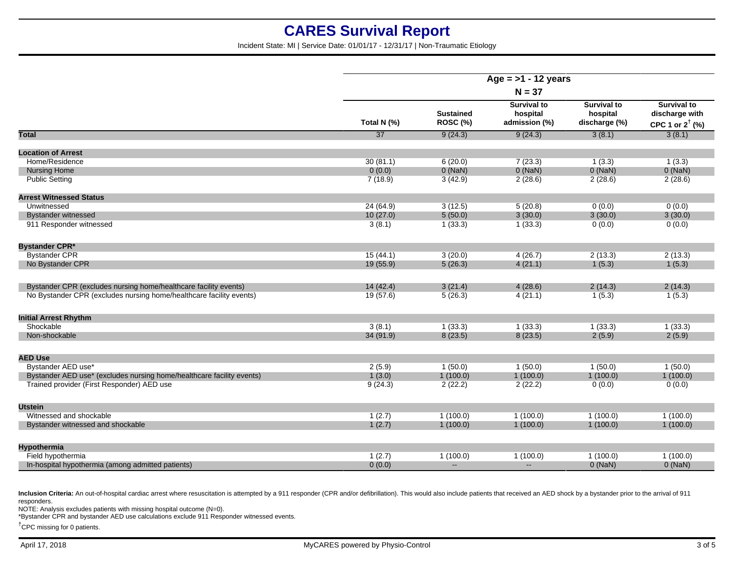Incident State: MI | Service Date: 01/01/17 - 12/31/17 | Non-Traumatic Etiology

|                                                                       |                 |                              | Age = $>1$ - 12 years                           |                                                 |                                                                    |
|-----------------------------------------------------------------------|-----------------|------------------------------|-------------------------------------------------|-------------------------------------------------|--------------------------------------------------------------------|
|                                                                       |                 |                              | $N = 37$                                        |                                                 |                                                                    |
|                                                                       | Total N (%)     | <b>Sustained</b><br>ROSC (%) | <b>Survival to</b><br>hospital<br>admission (%) | <b>Survival to</b><br>hospital<br>discharge (%) | <b>Survival to</b><br>discharge with<br>CPC 1 or $2^{\dagger}$ (%) |
| Total                                                                 | $\overline{37}$ | 9(24.3)                      | 9(24.3)                                         | 3(8.1)                                          | 3(8.1)                                                             |
| <b>Location of Arrest</b>                                             |                 |                              |                                                 |                                                 |                                                                    |
| Home/Residence                                                        | 30(81.1)        | 6(20.0)                      | 7(23.3)                                         | 1(3.3)                                          | 1(3.3)                                                             |
| <b>Nursing Home</b>                                                   | 0(0.0)          | $0$ (NaN)                    | $0$ (NaN)                                       | $0$ (NaN)                                       | $0$ (NaN)                                                          |
| <b>Public Setting</b>                                                 | 7(18.9)         | 3(42.9)                      | 2(28.6)                                         | 2(28.6)                                         | 2(28.6)                                                            |
| <b>Arrest Witnessed Status</b>                                        |                 |                              |                                                 |                                                 |                                                                    |
| Unwitnessed                                                           | 24 (64.9)       | 3(12.5)                      | 5(20.8)                                         | 0(0.0)                                          | 0(0.0)                                                             |
| <b>Bystander witnessed</b>                                            | 10(27.0)        | 5(50.0)                      | 3(30.0)                                         | 3(30.0)                                         | 3(30.0)                                                            |
| 911 Responder witnessed                                               | 3(8.1)          | 1(33.3)                      | 1(33.3)                                         | 0(0.0)                                          | 0(0.0)                                                             |
| <b>Bystander CPR*</b>                                                 |                 |                              |                                                 |                                                 |                                                                    |
| <b>Bystander CPR</b>                                                  | 15(44.1)        | 3(20.0)                      | 4(26.7)                                         | 2(13.3)                                         | 2(13.3)                                                            |
| No Bystander CPR                                                      | 19 (55.9)       | 5(26.3)                      | 4(21.1)                                         | 1(5.3)                                          | 1(5.3)                                                             |
| Bystander CPR (excludes nursing home/healthcare facility events)      | 14(42.4)        | 3(21.4)                      | 4(28.6)                                         | 2(14.3)                                         | 2(14.3)                                                            |
| No Bystander CPR (excludes nursing home/healthcare facility events)   | 19(57.6)        | 5(26.3)                      | 4(21.1)                                         | 1(5.3)                                          | 1(5.3)                                                             |
| <b>Initial Arrest Rhythm</b>                                          |                 |                              |                                                 |                                                 |                                                                    |
| Shockable                                                             | 3(8.1)          | 1(33.3)                      | 1(33.3)                                         | 1(33.3)                                         | 1(33.3)                                                            |
| Non-shockable                                                         | 34 (91.9)       | 8(23.5)                      | 8(23.5)                                         | 2(5.9)                                          | 2(5.9)                                                             |
| <b>AED Use</b>                                                        |                 |                              |                                                 |                                                 |                                                                    |
| Bystander AED use*                                                    | 2(5.9)          | 1(50.0)                      | 1(50.0)                                         | 1(50.0)                                         | 1(50.0)                                                            |
| Bystander AED use* (excludes nursing home/healthcare facility events) | 1(3.0)          | 1(100.0)                     | 1(100.0)                                        | 1(100.0)                                        | 1(100.0)                                                           |
| Trained provider (First Responder) AED use                            | 9(24.3)         | 2(22.2)                      | 2(22.2)                                         | 0(0.0)                                          | 0(0.0)                                                             |
| <b>Utstein</b>                                                        |                 |                              |                                                 |                                                 |                                                                    |
| Witnessed and shockable                                               | 1(2.7)          | 1(100.0)                     | 1(100.0)                                        | 1(100.0)                                        | 1(100.0)                                                           |
| Bystander witnessed and shockable                                     | 1(2.7)          | 1(100.0)                     | 1(100.0)                                        | 1(100.0)                                        | 1(100.0)                                                           |
| <b>Hypothermia</b>                                                    |                 |                              |                                                 |                                                 |                                                                    |
| Field hypothermia                                                     | 1(2.7)          | 1(100.0)                     | 1(100.0)                                        | 1(100.0)                                        | 1(100.0)                                                           |
| In-hospital hypothermia (among admitted patients)                     | 0(0.0)          | $\mathbf{u}$                 | $\overline{a}$                                  | $0$ (NaN)                                       | $0$ (NaN)                                                          |
|                                                                       |                 |                              |                                                 |                                                 |                                                                    |

Inclusion Criteria: An out-of-hospital cardiac arrest where resuscitation is attempted by a 911 responder (CPR and/or defibrillation). This would also include patients that received an AED shock by a bystander prior to the responders.

NOTE: Analysis excludes patients with missing hospital outcome (N=0).

\*Bystander CPR and bystander AED use calculations exclude 911 Responder witnessed events.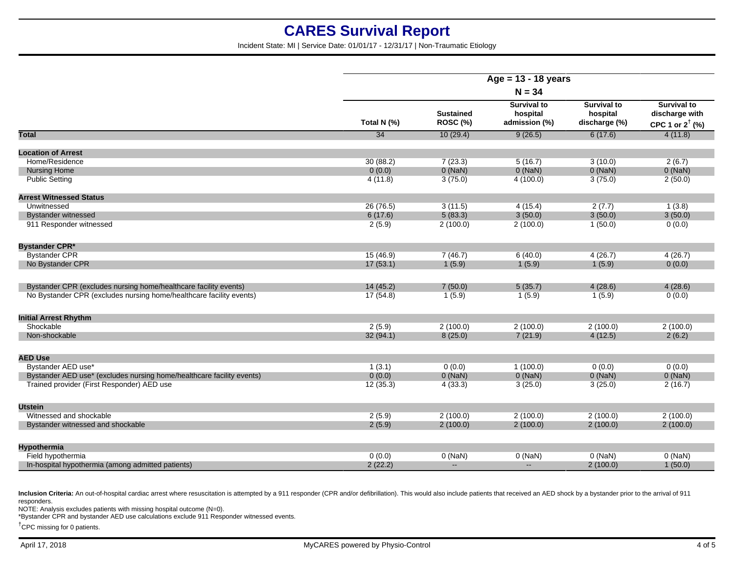Incident State: MI | Service Date: 01/01/17 - 12/31/17 | Non-Traumatic Etiology

|                                                                       |                 |                              | Age = $13 - 18$ years                           |                                                 |                                                                    |
|-----------------------------------------------------------------------|-----------------|------------------------------|-------------------------------------------------|-------------------------------------------------|--------------------------------------------------------------------|
|                                                                       |                 |                              | $N = 34$                                        |                                                 |                                                                    |
|                                                                       | Total N (%)     | <b>Sustained</b><br>ROSC (%) | <b>Survival to</b><br>hospital<br>admission (%) | <b>Survival to</b><br>hospital<br>discharge (%) | <b>Survival to</b><br>discharge with<br>CPC 1 or $2^{\dagger}$ (%) |
| Total                                                                 | $\overline{34}$ | 10(29.4)                     | 9(26.5)                                         | 6(17.6)                                         | 4(11.8)                                                            |
| <b>Location of Arrest</b>                                             |                 |                              |                                                 |                                                 |                                                                    |
| Home/Residence                                                        | 30(88.2)        | 7(23.3)                      | 5(16.7)                                         | 3(10.0)                                         | 2(6.7)                                                             |
| <b>Nursing Home</b>                                                   | 0(0.0)          | $0$ (NaN)                    | $0$ (NaN)                                       | $0$ (NaN)                                       | $0$ (NaN)                                                          |
| <b>Public Setting</b>                                                 | 4(11.8)         | 3(75.0)                      | 4(100.0)                                        | 3(75.0)                                         | 2(50.0)                                                            |
| <b>Arrest Witnessed Status</b>                                        |                 |                              |                                                 |                                                 |                                                                    |
| Unwitnessed                                                           | 26 (76.5)       | 3(11.5)                      | 4(15.4)                                         | 2(7.7)                                          | 1(3.8)                                                             |
| <b>Bystander witnessed</b>                                            | 6(17.6)         | 5(83.3)                      | 3(50.0)                                         | 3(50.0)                                         | 3(50.0)                                                            |
| 911 Responder witnessed                                               | 2(5.9)          | 2(100.0)                     | 2(100.0)                                        | 1(50.0)                                         | 0(0.0)                                                             |
| <b>Bystander CPR*</b>                                                 |                 |                              |                                                 |                                                 |                                                                    |
| <b>Bystander CPR</b>                                                  | 15(46.9)        | 7(46.7)                      | 6(40.0)                                         | 4(26.7)                                         | 4(26.7)                                                            |
| No Bystander CPR                                                      | 17(53.1)        | 1(5.9)                       | 1(5.9)                                          | 1(5.9)                                          | 0(0.0)                                                             |
| Bystander CPR (excludes nursing home/healthcare facility events)      | 14(45.2)        | 7(50.0)                      | 5(35.7)                                         | 4(28.6)                                         | 4(28.6)                                                            |
| No Bystander CPR (excludes nursing home/healthcare facility events)   | 17(54.8)        | 1(5.9)                       | 1(5.9)                                          | 1(5.9)                                          | 0(0.0)                                                             |
| <b>Initial Arrest Rhythm</b>                                          |                 |                              |                                                 |                                                 |                                                                    |
| Shockable                                                             | 2(5.9)          | 2(100.0)                     | 2(100.0)                                        | 2(100.0)                                        | 2(100.0)                                                           |
| Non-shockable                                                         | 32(94.1)        | 8(25.0)                      | 7(21.9)                                         | 4(12.5)                                         | 2(6.2)                                                             |
| <b>AED Use</b>                                                        |                 |                              |                                                 |                                                 |                                                                    |
| Bystander AED use*                                                    | 1(3.1)          | 0(0.0)                       | 1(100.0)                                        | 0(0.0)                                          | 0(0.0)                                                             |
| Bystander AED use* (excludes nursing home/healthcare facility events) | 0(0.0)          | $0$ (NaN)                    | $0$ (NaN)                                       | $0$ (NaN)                                       | $0$ (NaN)                                                          |
| Trained provider (First Responder) AED use                            | 12(35.3)        | 4(33.3)                      | 3(25.0)                                         | 3(25.0)                                         | 2(16.7)                                                            |
| <b>Utstein</b>                                                        |                 |                              |                                                 |                                                 |                                                                    |
| Witnessed and shockable                                               | 2(5.9)          | 2(100.0)                     | 2(100.0)                                        | 2(100.0)                                        | 2(100.0)                                                           |
| Bystander witnessed and shockable                                     | 2(5.9)          | 2(100.0)                     | 2(100.0)                                        | 2(100.0)                                        | 2(100.0)                                                           |
| <b>Hypothermia</b>                                                    |                 |                              |                                                 |                                                 |                                                                    |
| Field hypothermia                                                     | 0(0.0)          | $0$ (NaN)                    | $0$ (NaN)                                       | $0$ (NaN)                                       | $0$ (NaN)                                                          |
| In-hospital hypothermia (among admitted patients)                     | 2(22.2)         | $\mathbf{u}$                 | $\overline{a}$                                  | 2(100.0)                                        | 1(50.0)                                                            |

Inclusion Criteria: An out-of-hospital cardiac arrest where resuscitation is attempted by a 911 responder (CPR and/or defibrillation). This would also include patients that received an AED shock by a bystander prior to the responders.

NOTE: Analysis excludes patients with missing hospital outcome (N=0).

\*Bystander CPR and bystander AED use calculations exclude 911 Responder witnessed events.